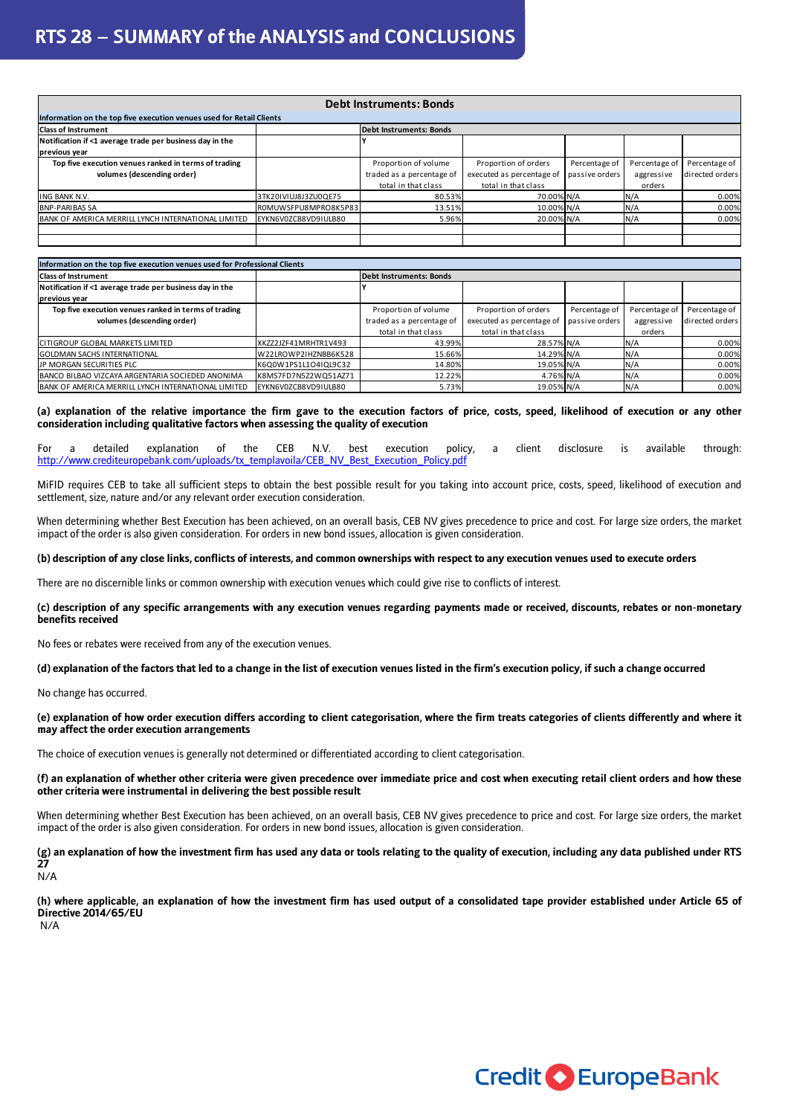## **RTS 28 – SUMMARY of the ANALYSIS and CONCLUSIONS**

| <b>Debt Instruments: Bonds</b>                                       |                      |                                |                           |                |               |                 |  |
|----------------------------------------------------------------------|----------------------|--------------------------------|---------------------------|----------------|---------------|-----------------|--|
| Information on the top five execution venues used for Retail Clients |                      |                                |                           |                |               |                 |  |
| <b>Class of Instrument</b>                                           |                      | <b>Debt Instruments: Bonds</b> |                           |                |               |                 |  |
| Notification if <1 average trade per business day in the             |                      |                                |                           |                |               |                 |  |
| previous year                                                        |                      |                                |                           |                |               |                 |  |
| Top five execution venues ranked in terms of trading                 |                      | Proportion of volume           | Proportion of orders      | Percentage of  | Percentage of | Percentage of   |  |
| volumes (descending order)                                           |                      | traded as a percentage of      | executed as percentage of | passive orders | aggressive    | directed orders |  |
|                                                                      |                      | total in that class            | total in that class       |                | orders        |                 |  |
| <b>ING BANK N.V.</b>                                                 | 3TK20IVIUJ8J3ZU0QE75 | 80.53%                         | 70.00% N/A                |                | N/A           | 0.00%           |  |
| <b>BNP-PARIBAS SA</b>                                                | ROMUWSFPU8MPRO8K5P83 | 13.51%                         | 10.00% N/A                |                | N/A           | 0.00%           |  |
| BANK OF AMERICA MERRILL LYNCH INTERNATIONAL LIMITED                  | EYKN6V0ZCB8VD9IULB80 | 5.96%                          | 20.00% N/A                |                | N/A           | 0.00%           |  |
|                                                                      |                      |                                |                           |                |               |                 |  |
|                                                                      |                      |                                |                           |                |               |                 |  |

| Information on the top five execution venues used for Professional Clients |                      |                                |                           |                |               |                 |
|----------------------------------------------------------------------------|----------------------|--------------------------------|---------------------------|----------------|---------------|-----------------|
| <b>Class of Instrument</b>                                                 |                      | <b>Debt Instruments: Bonds</b> |                           |                |               |                 |
| Notification if <1 average trade per business day in the                   |                      |                                |                           |                |               |                 |
| previous year                                                              |                      |                                |                           |                |               |                 |
| Top five execution venues ranked in terms of trading                       |                      | Proportion of volume           | Proportion of orders      | Percentage of  | Percentage of | Percentage of   |
| volumes (descending order)                                                 |                      | traded as a percentage of      | executed as percentage of | passive orders | aggressive    | directed orders |
|                                                                            |                      | total in that class            | total in that class       |                | orders        |                 |
| <b>CITIGROUP GLOBAL MARKETS LIMITED</b>                                    | XKZZ2JZF41MRHTR1V493 | 43.99%                         | 28.57% N/A                |                | N/A           | 0.00%           |
| <b>GOLDMAN SACHS INTERNATIONAL</b>                                         | W22LROWP2IHZNBB6K528 | 15.66%                         | 14.29% N/A                |                | N/A           | 0.00%           |
| JP MORGAN SECURITIES PLC                                                   | K6Q0W1PS1L1O4IQL9C32 | 14.80%                         | 19.05% N/A                |                | N/A           | 0.00%           |
| BANCO BILBAO VIZCAYA ARGENTARIA SOCIEDED ANONIMA                           | K8MS7FD7N5Z2WQ51AZ71 | 12.22%                         | 4.76% N/A                 |                | N/A           | 0.00%           |
| BANK OF AMERICA MERRILL LYNCH INTERNATIONAL LIMITED                        | EYKN6V0ZCB8VD9IULB80 | 5.73%                          | 19.05% N/A                |                | N/A           | 0.00%           |

**(a) explanation of the relative importance the firm gave to the execution factors of price, costs, speed, likelihood of execution or any other consideration including qualitative factors when assessing the quality of execution** 

For a detailed explanation of the CEB N.V. best execution policy, a client disclosure is available through: http://www.crediteuropebank.com/uploads/tx\_templavoila/CEB\_NV\_Best\_Execution\_Policy.pdf

MiFID requires CEB to take all sufficient steps to obtain the best possible result for you taking into account price, costs, speed, likelihood of execution and settlement, size, nature and/or any relevant order execution consideration.

When determining whether Best Execution has been achieved, on an overall basis, CEB NV gives precedence to price and cost. For large size orders, the market impact of the order is also given consideration. For orders in new bond issues, allocation is given consideration.

## **(b) description of any close links, conflicts of interests, and common ownerships with respect to any execution venues used to execute orders**

There are no discernible links or common ownership with execution venues which could give rise to conflicts of interest.

**(c) description of any specific arrangements with any execution venues regarding payments made or received, discounts, rebates or non-monetary benefits received** 

No fees or rebates were received from any of the execution venues.

**(d) explanation of the factors that led to a change in the list of execution venues listed in the firm's execution policy, if such a change occurred** 

No change has occurred.

**(e) explanation of how order execution differs according to client categorisation, where the firm treats categories of clients differently and where it may affect the order execution arrangements** 

The choice of execution venues is generally not determined or differentiated according to client categorisation.

**(f) an explanation of whether other criteria were given precedence over immediate price and cost when executing retail client orders and how these other criteria were instrumental in delivering the best possible result** 

When determining whether Best Execution has been achieved, on an overall basis, CEB NV gives precedence to price and cost. For large size orders, the market impact of the order is also given consideration. For orders in new bond issues, allocation is given consideration.

**(g) an explanation of how the investment firm has used any data or tools relating to the quality of execution, including any data published under RTS 27**  N/A

**(h) where applicable, an explanation of how the investment firm has used output of a consolidated tape provider established under Article 65 of Directive 2014/65/EU**  N/A

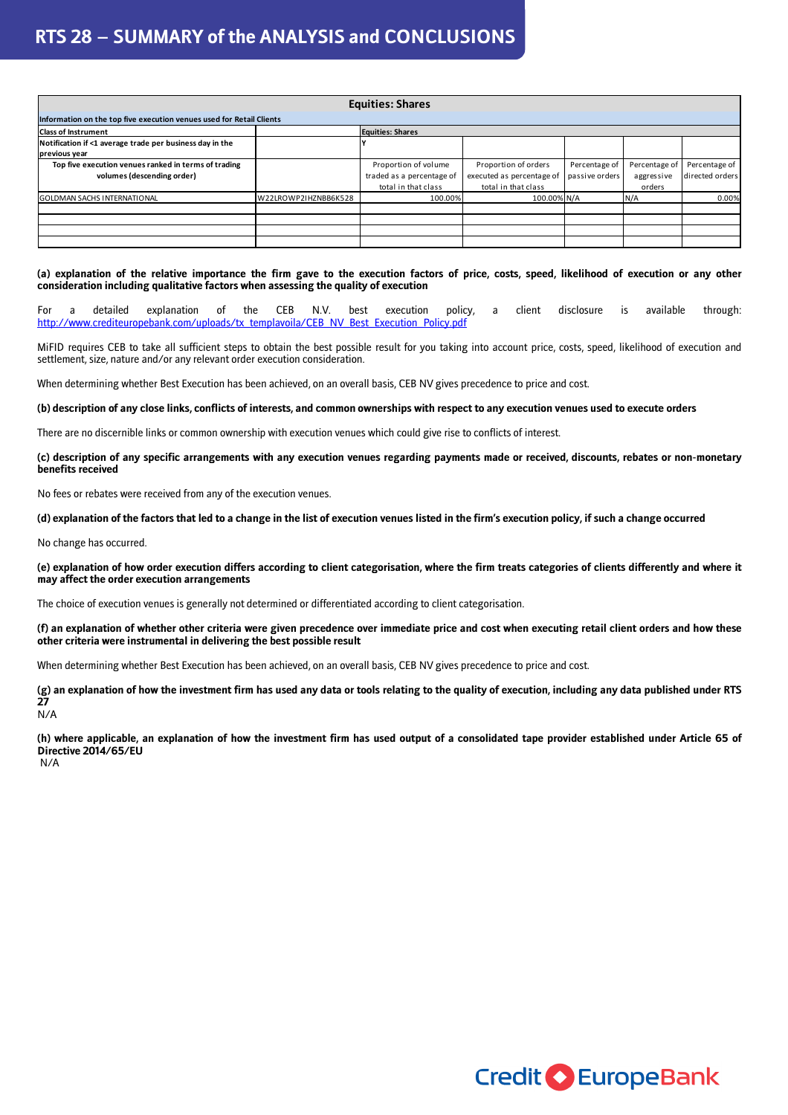## **RTS 28 – SUMMARY of the ANALYSIS and CONCLUSIONS**

| <b>Equities: Shares</b>                                              |                      |                           |                           |                |               |                 |  |
|----------------------------------------------------------------------|----------------------|---------------------------|---------------------------|----------------|---------------|-----------------|--|
| Information on the top five execution venues used for Retail Clients |                      |                           |                           |                |               |                 |  |
| <b>Class of Instrument</b>                                           |                      | <b>Equities: Shares</b>   |                           |                |               |                 |  |
| Notification if <1 average trade per business day in the             |                      |                           |                           |                |               |                 |  |
| previous year                                                        |                      |                           |                           |                |               |                 |  |
| Top five execution venues ranked in terms of trading                 |                      | Proportion of volume      | Proportion of orders      | Percentage of  | Percentage of | Percentage of   |  |
| volumes (descending order)                                           |                      | traded as a percentage of | executed as percentage of | passive orders | aggressive    | directed orders |  |
|                                                                      |                      | total in that class       | total in that class       |                | orders        |                 |  |
| <b>GOLDMAN SACHS INTERNATIONAL</b>                                   | W22LROWP2IHZNBB6K528 | 100.00%                   | 100.00% N/A               |                | N/A           | 0.00%           |  |
|                                                                      |                      |                           |                           |                |               |                 |  |
|                                                                      |                      |                           |                           |                |               |                 |  |
|                                                                      |                      |                           |                           |                |               |                 |  |
|                                                                      |                      |                           |                           |                |               |                 |  |

**(a) explanation of the relative importance the firm gave to the execution factors of price, costs, speed, likelihood of execution or any other consideration including qualitative factors when assessing the quality of execution** 

For a detailed explanation of the CEB N.V. best execution policy, a client disclosure is available through: http://www.crediteuropebank.com/uploads/tx\_templavoila/CEB\_NV\_Best\_Execution\_Policy.pdf

MiFID requires CEB to take all sufficient steps to obtain the best possible result for you taking into account price, costs, speed, likelihood of execution and settlement, size, nature and/or any relevant order execution consideration.

When determining whether Best Execution has been achieved, on an overall basis, CEB NV gives precedence to price and cost.

**(b) description of any close links, conflicts of interests, and common ownerships with respect to any execution venues used to execute orders** 

There are no discernible links or common ownership with execution venues which could give rise to conflicts of interest.

**(c) description of any specific arrangements with any execution venues regarding payments made or received, discounts, rebates or non-monetary benefits received** 

No fees or rebates were received from any of the execution venues.

**(d) explanation of the factors that led to a change in the list of execution venues listed in the firm's execution policy, if such a change occurred** 

No change has occurred.

**(e) explanation of how order execution differs according to client categorisation, where the firm treats categories of clients differently and where it may affect the order execution arrangements** 

The choice of execution venues is generally not determined or differentiated according to client categorisation.

**(f) an explanation of whether other criteria were given precedence over immediate price and cost when executing retail client orders and how these other criteria were instrumental in delivering the best possible result** 

When determining whether Best Execution has been achieved, on an overall basis, CEB NV gives precedence to price and cost.

**(g) an explanation of how the investment firm has used any data or tools relating to the quality of execution, including any data published under RTS 27**  N/A

**(h) where applicable, an explanation of how the investment firm has used output of a consolidated tape provider established under Article 65 of Directive 2014/65/EU**  N/A

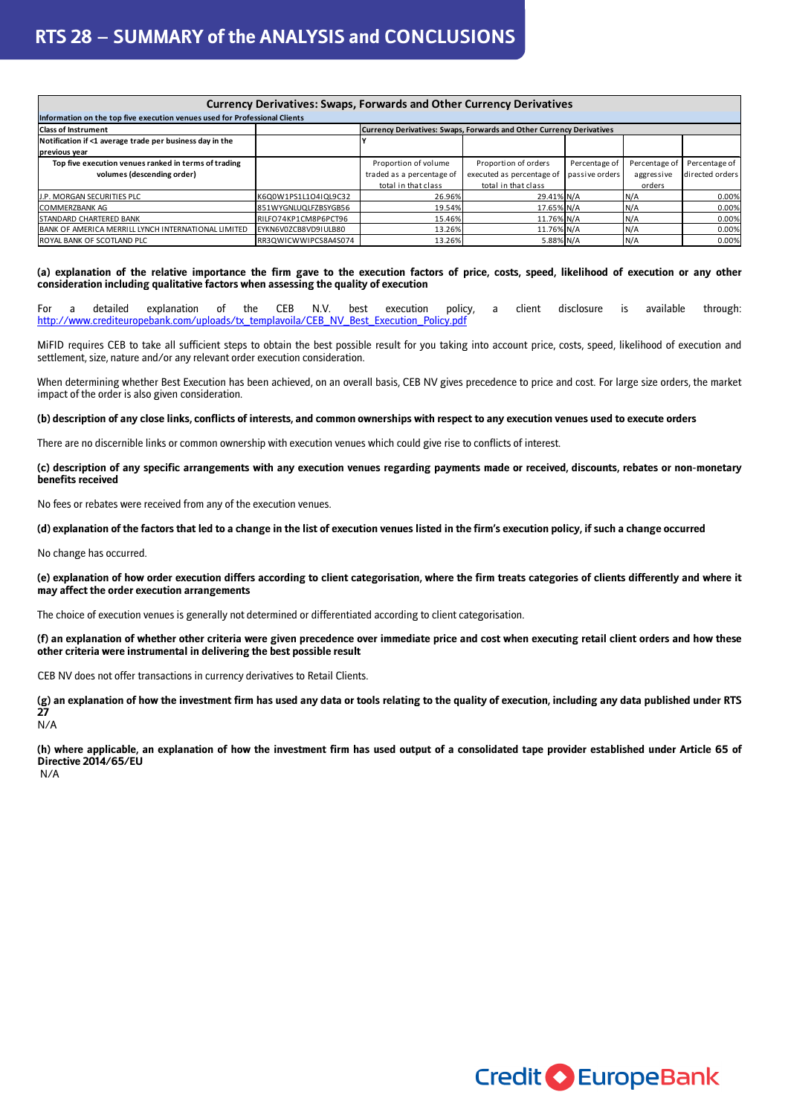| <b>Currency Derivatives: Swaps, Forwards and Other Currency Derivatives</b> |                      |                                                                      |                           |                |               |                 |  |
|-----------------------------------------------------------------------------|----------------------|----------------------------------------------------------------------|---------------------------|----------------|---------------|-----------------|--|
| Information on the top five execution venues used for Professional Clients  |                      |                                                                      |                           |                |               |                 |  |
| <b>Class of Instrument</b>                                                  |                      | Currency Derivatives: Swaps, Forwards and Other Currency Derivatives |                           |                |               |                 |  |
| Notification if <1 average trade per business day in the                    |                      |                                                                      |                           |                |               |                 |  |
| previous year                                                               |                      |                                                                      |                           |                |               |                 |  |
| Top five execution venues ranked in terms of trading                        |                      | Proportion of volume                                                 | Proportion of orders      | Percentage of  | Percentage of | Percentage of   |  |
| volumes (descending order)                                                  |                      | traded as a percentage of                                            | executed as percentage of | passive orders | aggressive    | directed orders |  |
|                                                                             |                      | total in that class                                                  | total in that class       |                | orders        |                 |  |
| J.P. MORGAN SECURITIES PLC                                                  | K6Q0W1PS1L1O4IQL9C32 | 26.96%                                                               | 29.41% N/A                |                | N/A           | 0.00%           |  |
| <b>COMMERZBANK AG</b>                                                       | 851WYGNLUQLFZBSYGB56 | 19.54%                                                               | 17.65% N/A                |                | N/A           | 0.00%           |  |
| <b>STANDARD CHARTERED BANK</b>                                              | RILFO74KP1CM8P6PCT96 | 15.46%                                                               | 11.76% N/A                |                | N/A           | 0.00%           |  |
| BANK OF AMERICA MERRILL LYNCH INTERNATIONAL LIMITED                         | EYKN6V0ZCB8VD9IULB80 | 13.26%                                                               | 11.76% N/A                |                | N/A           | 0.00%           |  |
| ROYAL BANK OF SCOTLAND PLC                                                  | RR3QWICWWIPCS8A4S074 | 13.26%                                                               | 5.88% N/A                 |                | N/A           | 0.00%           |  |

**(a) explanation of the relative importance the firm gave to the execution factors of price, costs, speed, likelihood of execution or any other consideration including qualitative factors when assessing the quality of execution** 

For a detailed explanation of the CEB N.V. best execution policy, a client disclosure is available through: http://www.crediteuropebank.com/uploads/tx\_templavoila/CEB\_NV\_Best\_Execution\_Policy.pdf

MiFID requires CEB to take all sufficient steps to obtain the best possible result for you taking into account price, costs, speed, likelihood of execution and settlement, size, nature and/or any relevant order execution consideration.

When determining whether Best Execution has been achieved, on an overall basis, CEB NV gives precedence to price and cost. For large size orders, the market impact of the order is also given consideration.

**(b) description of any close links, conflicts of interests, and common ownerships with respect to any execution venues used to execute orders** 

There are no discernible links or common ownership with execution venues which could give rise to conflicts of interest.

**(c) description of any specific arrangements with any execution venues regarding payments made or received, discounts, rebates or non-monetary benefits received** 

No fees or rebates were received from any of the execution venues.

**(d) explanation of the factors that led to a change in the list of execution venues listed in the firm's execution policy, if such a change occurred** 

No change has occurred.

**(e) explanation of how order execution differs according to client categorisation, where the firm treats categories of clients differently and where it may affect the order execution arrangements** 

The choice of execution venues is generally not determined or differentiated according to client categorisation.

**(f) an explanation of whether other criteria were given precedence over immediate price and cost when executing retail client orders and how these other criteria were instrumental in delivering the best possible result** 

CEB NV does not offer transactions in currency derivatives to Retail Clients.

**(g) an explanation of how the investment firm has used any data or tools relating to the quality of execution, including any data published under RTS 27** 

N/A

**(h) where applicable, an explanation of how the investment firm has used output of a consolidated tape provider established under Article 65 of Directive 2014/65/EU** 

N/A